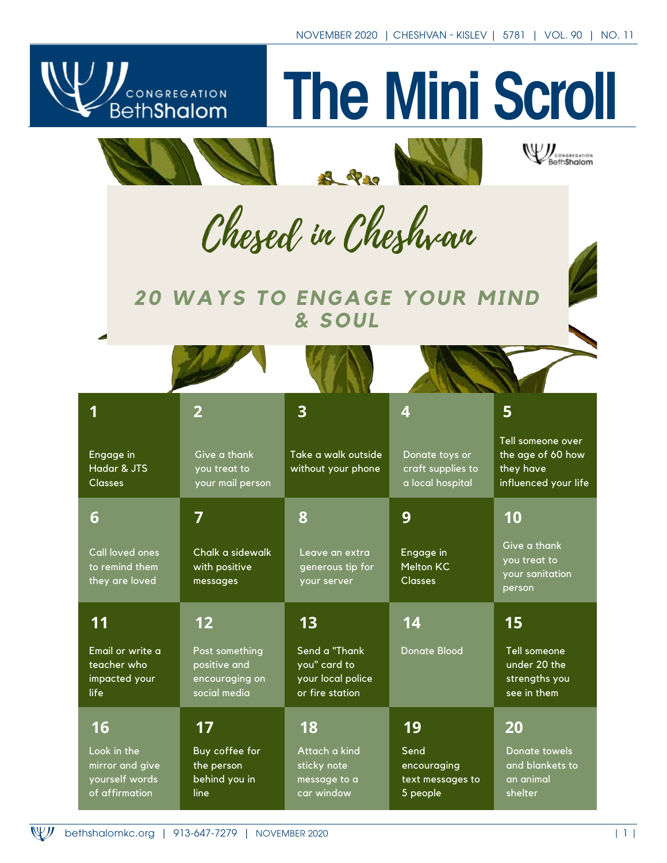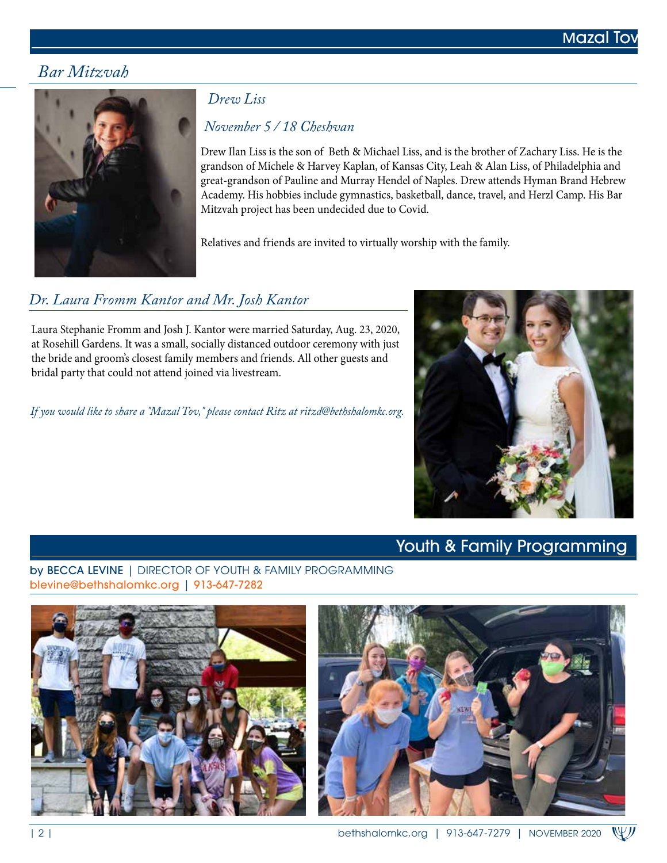# *Bar Mitzvah*



## *Drew Liss*

# *November 5 / 18 Cheshvan*

Drew Ilan Liss is the son of Beth & Michael Liss, and is the brother of Zachary Liss. He is the grandson of Michele & Harvey Kaplan, of Kansas City, Leah & Alan Liss, of Philadelphia and great-grandson of Pauline and Murray Hendel of Naples. Drew attends Hyman Brand Hebrew Academy. His hobbies include gymnastics, basketball, dance, travel, and Herzl Camp. His Bar Mitzvah project has been undecided due to Covid.

Relatives and friends are invited to virtually worship with the family.

# *Dr. Laura Fromm Kantor and Mr. Josh Kantor*

Laura Stephanie Fromm and Josh J. Kantor were married Saturday, Aug. 23, 2020, at Rosehill Gardens. It was a small, socially distanced outdoor ceremony with just the bride and groom's closest family members and friends. All other guests and bridal party that could not attend joined via livestream.

*If you would like to share a "Mazal Tov," please contact Ritz at ritzd@bethshalomkc.org.*



# Youth & Family Programming

by BECCA LEVINE | DIRECTOR OF YOUTH & FAMILY PROGRAMMING blevine@bethshalomkc.org | 913-647-7282



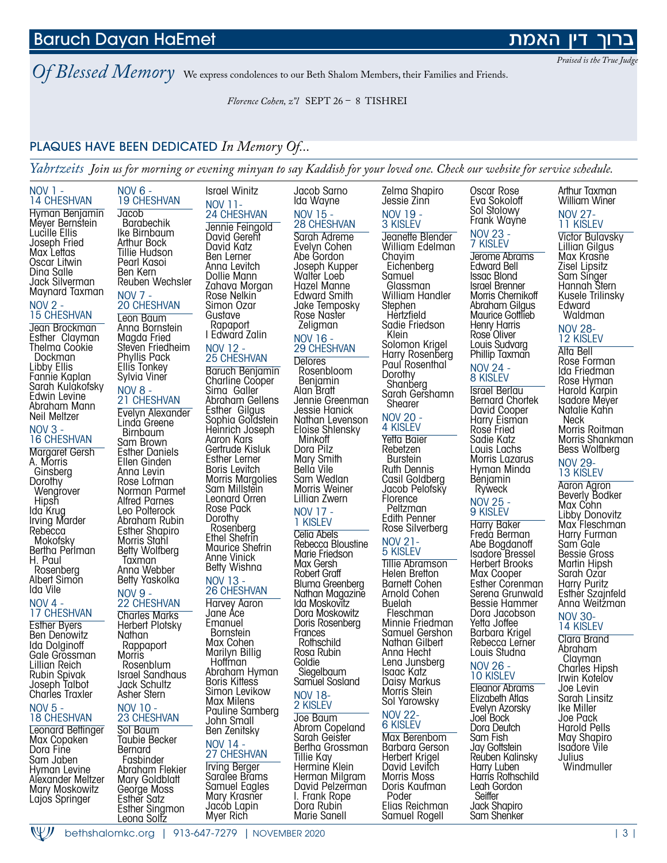<u>Leona Solfz</u>

# Baruch Dayan HaEmet

*Of Blessed Memory* We express condolences to our Beth Shalom Members, their Families and Friends.

*Florence Cohen, z"l* SEPT 26 – 8 TISHREI

# PLAQUES HAVE BEEN DEDICATED *In Memory Of...*

*Yahrtzeits Join us for morning or evening minyan to say Kaddish for your loved one. Check our website for service schedule.*

| NOV 1 -<br>14 CHESHVAN              | <b>NOV 6 -</b><br><b>19 CHESHVAN</b>   | <b>Israel Winitz</b>                     | Jacob Sarno<br>Ida Wayne            | Zelma Shapiro<br>Jessie Zinn        | Oscar Rose<br>Eva Sokoloff                | Arthur Taxman<br>William Winer     |
|-------------------------------------|----------------------------------------|------------------------------------------|-------------------------------------|-------------------------------------|-------------------------------------------|------------------------------------|
| Hyman Benjamin                      | Jacob                                  | <b>NOV 11-</b><br>24 CHESHVAN            | NOV 15 -                            | NOV 19 -                            | Sol Stolowy<br>Frank Wayne                | <b>NOV 27-</b>                     |
| Meyer Bernstein<br>Lucille Ellis    | <b>Barabechik</b><br>Ike Birnbaum      | Jennie Feingold                          | <b>28 CHESHVAN</b>                  | 3 KISLEV                            | <b>NOV 23 -</b>                           | 11 KISLEV                          |
| Joseph Fried                        | Arthur Bock                            | David Gerent<br>David Katz               | Sarah Adreme<br>Evelyn Cohen        | Jeanette Blender<br>William Edelman | 7 KISLEV                                  | Victor Bulavsk<br>Lillian Gilgus   |
| Max Lettas                          | Tillie Hudson                          | Ben Lerner                               | Abe Gordon                          | Chayim                              | Jerome Abrams                             | Max Krasñe                         |
| Oscar Litwin<br>Dina Salle          | Pearl Kasoi<br>Ben Kern                | Anna Levitch                             | Joseph Kupper                       | Eichenberg                          | Edward Bell                               | Zisel Lipsitz                      |
| Jack Silverman                      | Reuben Wechsler                        | Dollie Mann<br>Zahava Morgan             | Walter Loeb<br>Hazel Manne          | Samuel<br>Glassman                  | <b>Issac Blond</b><br>Israel Brenner      | Sam Singer<br>Hannah Stern         |
| Maynard Taxman                      | <b>NOV 7 -</b>                         | Rose Nelkin                              | <b>Edward Smith</b>                 | William Handler                     | Morris Chernikoff                         | Kusele Trilinsl                    |
| NOV 2 -                             | <b>20 CHESHVAN</b>                     | Simon Ozar                               | Jake Temposky                       | Stephen                             | Abraham Gilgus                            | Edward                             |
| <b>15 CHESHVAN</b>                  | Leon Baum                              | Gustave                                  | Rose Naster                         | Hertzfield<br>Sadie Friedson        | Maurice Gottlieb<br>Henry Harris          | Waldman                            |
| Jean Brockman<br>Esther Clayman     | Anna Bornstein<br>Magda Fried          | Rapaport<br>I Edward Zalin               | Zeligman<br>NOV 16 -                | Klein                               | Rose Oliver                               | <b>NOV 28-</b>                     |
| Thelma Cookie                       | Steven Friedheim                       | NOV 12 -                                 | <b>29 CHESHVAN</b>                  | Solomon Krigel                      | Louis Sudvarg                             | 12 KISLEV<br>Alta Bell             |
| Dockman                             | Phyllis Pack                           | <b>25 CHESHVAN</b>                       | <b>Delores</b>                      | Harry Rosenberg                     | Phillip Taxman                            | Rose Forman                        |
| Libby Ellis                         | Ellis Tonkey                           | Baruch Benjamin                          | Rosenbloom                          | Paul Rosenthal<br>Dorothy           | NOV 24 -                                  | Ida Friedman                       |
| Fannie Kaplan<br>Sarah Kulakofsky   | Sylvia Viner                           | Charline Cooper                          | Benjamin                            | Shanberg                            | 8 KISLEV                                  | Rose Hyman                         |
| Edwin Levine                        | <b>NOV 8 -</b><br>21 CHESHVAN          | Sima Galler<br>Abraham Gellens           | Alan Bratt<br>Jennie Greenman       | Sarah Gershamn                      | Israel Berlau<br><b>Bernard Chortek</b>   | Harold Karpin<br>Isadore Meyer     |
| Abraham Mann                        | <b>Evelyn Alexander</b>                | Esther Gilgus                            | Jessie Hanick                       | Shearer                             | David Cooper                              | Natalie Kahn                       |
| Neil Meltzer                        | Linda Greene                           | Sophia Goldstein                         | Nathan Levenson                     | <b>NOV 20 -</b><br>4 KISLEV         | Harry Eisman                              | Neck                               |
| <b>NOV 3 -</b><br>16 CHESHVAN       | <b>Birnbaum</b>                        | Heinrich Joseph<br>Aaron Kars            | Eloise Shlensky<br>Minkoff          | Yetta Baier                         | Rose Fried<br>Sadie Katz                  | Morris Roitmo<br>Morris Shankr     |
| <b>Margaret Gersh</b>               | Sam Brown<br><b>Esther Daniels</b>     | Gertrude Kisluk                          | Dora Pilz                           | Rebetzen                            | Louis Lachs                               | Bess Wolfberg                      |
| A. Morris                           | Ellen Ginden                           | Esther Lerner                            | Mary Smith                          | <b>Burstein</b>                     | Morris Lazarus                            | <b>NOV 29-</b>                     |
| Ginsberg                            | Anna Levin                             | Boris Levitch<br><b>Morris Margolies</b> | Bella Vile<br>Sam Wedlan            | Ruth Dennis<br>Casil Goldberg       | Hyman Minda<br>Benjamin                   | 13 KISLEV                          |
| Dorothy<br>Wengrover                | Rose Lofman<br>Norman Parmet           | Sam Millstein                            | Morris Weiner                       | Jacob Pelofsky                      | Ryweck                                    | Aaron Agron                        |
| Hipsh                               | <b>Alfred Parnes</b>                   | Leonard Orren                            | Lillian Zwern                       | Florence                            | NOV 25 -                                  | <b>Beverly Bodke</b><br>Max Cohn   |
| lda Krug                            | Leo Polterock                          | Rose Pack<br>Dorothy                     | NOV 17 -                            | Peltzman<br>Edith Penner            | 9 KISLEV                                  | Libby Donovit                      |
| Irving Marder<br>Rebecca            | Abraham Rubin<br><b>Esther Shapiro</b> | Rosenberg                                | 1 KISLEV                            | Rose Silverberg                     | Harry Baker                               | Max Fleschmo                       |
| Mokofsky                            | Morris Stahl                           | Ethel Shefrin                            | Celia Abels                         | <b>NOV 21-</b>                      | Freda Berman                              | Harry Furman                       |
| Bertha Perlman                      | Betty Wolfberg                         | Maurice Shefrin<br>Anne Vinick           | Rebecca Bloustine<br>Marie Friedson | 5 KISLEV                            | Abe Bogdanoff<br>Isadore Bressel          | Sam Gale<br>Bessie Gross           |
| H. Paul<br>Rosenberg                | Taxman<br>Anna Webber                  | Betty Wishna                             | Max Gersh                           | Tillie Abramson                     | <b>Herbert Brooks</b>                     | Martin Hipsh                       |
| Albert Simon                        | Betty Yaskolka                         | <b>NOV 13 -</b>                          | Robert Graff                        | Helen Bretton                       | Max Cooper                                | Sarah Ozar                         |
| lda Vile                            | <b>NOV 9 -</b>                         | <b>26 CHESHVAN</b>                       | Bluma Greenberg<br>Nathan Magazine  | Barnett Cohen<br>Arnold Cohen       | <b>Esther Corenman</b><br>Serena Grunwald | Harry Puritz<br>Esther Szajnfe     |
| NOV 4 -                             | 22 CHESHVAN                            | Harvey Aaron                             | Ida Moskovitz                       | Buelah                              | Bessie Hammer                             | Anna Weitzmo                       |
| 17 CHESHVAN                         | <b>Charles Marks</b>                   | Jane Ace                                 | Dora Moskowitz                      | Fleschman                           | Dora Jacobson                             | <b>NOV 30-</b>                     |
| <b>Esther Byers</b><br>Ben Denowitz | Herbert Plotsky<br>Nathan              | Emanuel<br><b>Bornstein</b>              | Doris Rosenberg<br>Frances          | Minnie Friedman<br>Samuel Gershon   | Yetta Joffee<br>Barbara Krigel            | 14 KISLEV                          |
| lda Dolginoff                       | Rappaport                              | Max Cohen                                | Rothschild                          | Nathan Gilbert                      | Rebecca Lerner                            | Clara Brand                        |
| Gale Grossman                       | Morris                                 | Marilyn Billig                           | Rosa Rubin                          | Anna Hecht                          | Louis Studna                              | Abraham<br>Clayman                 |
| Lillian Reich                       | Rosenblum                              | Hoffman<br>Abraham Hyman                 | Goldie<br>Siegelbaum                | Lena Junsberg<br><b>Isaac Katz</b>  | <b>NOV 26 -</b>                           | Charles Hinsh                      |
| Rubin Spivak<br>Joseph Talbot       | Israel Sandhaus<br>Jack Schultz        | <b>Boris Kittess</b>                     | Samuel Sosland                      | Daisy Markus                        | <b>10 KISLEV</b>                          | Irwin Koteľov                      |
| Charles Traxler                     | Asher Stern                            | Simon Levikow                            | <b>NOV 18-</b>                      | Morrís Stein                        | Eleanor Abrams<br>Elizabeth Atlas         | Joe Levin<br>Sarah Linsitz         |
| <b>NOV 5 -</b>                      | NOV 10 -                               | Max Milens<br>Pauline Samberg            | 2 KISLEV                            | Sol Yarowsky                        | Evelyn Azorsky                            | Ike Miller                         |
| <b>18 CHESHVAN</b>                  | 23 CHESHVAN                            | John Small                               | Joe Baum                            | <b>NOV 22-</b><br>6 KISLEV          | Joel Bock                                 | Joe Pack                           |
| <b>Leonard Bettinger</b>            | Sol Baum                               | Ben Zenitsky                             | Abrom Copeland<br>Sarah Geister     | Max Berenbom                        | Dora Deutch<br>Sam Fish                   | <b>Harold Pells</b><br>May Shapiro |
| Max Copaken<br>Dora Fine            | Taubie Becker<br>Bernard               | NOV 14 -                                 | Bertha Grossman                     | Barbara Gerson                      | Jay Gottstein                             | Isadore Vile                       |
| Sam Jaben                           | Fasbinder                              | 27 CHESHVAN                              | Tillie Kay                          | Herbert Krigel                      | Reuben Kalinsky                           | Julius                             |
| Hyman Levine                        | Abraham Flekier                        | <b>Irving Berger</b><br>Saralee Brams    | Hermine Klein<br>Herman Milgram     | David Levifch<br>Morris Moss        | Harry Luben<br>Harrís Rothschild          | Windmuller                         |
| Alexander Meltzer<br>Mary Moskowitz | Mary Goldblatt<br>George Moss          | Samuel Eagles                            | David Pelzerman                     | Doris Kaufman                       | Leah Gordon                               |                                    |
| Lajos Springer                      | Esther Satz                            | Mary Krasner                             | I. Frank Rope                       | Poder                               | Seiffer                                   |                                    |
|                                     | Esther Singmon<br>Leong Soltz          | Jacob Lapin<br>Myer Rich                 | Dora Rubin<br>Marie Sanell          | Elias Reichman<br>Samuel Rogell     | Jack Shapiro<br>Sam Shenker               |                                    |
|                                     |                                        |                                          |                                     |                                     |                                           |                                    |

## האמת

*Praised is the True Judge* 

#### 11 KISLEV Victor Bulavsky Lillian Gilgus Max Krasne Zisel Lipsitz Sam Singer Hannah Stern Kusele Trilinsky Edward Waldman

#### NOV 28- 12 KISLEV

Alta Bell Rose Forman Ida Friedman Rose Hyman Harold Karpin Isadore Meyer Natalie Kahn Neck Morris Roitman Morris Shankman Bess Wolfberg NOV 29- 13 KISLEV

Aaron Agron Beverly Bodker Max Cohn Libby Donovitz Max Fleschman Harry Furman Sam' Gale Bessie Gross Martin Hipsh Sarah Oz<sup>'</sup>ar Harry Puritz Esther Szajnfeld Anna Weitzman

#### NOV 30- 14 KISLEV

Clara Brand Abraham Clayman Charles Hipsh Irwin Koteľov Joe Levin Sarah Linsitz Ike Miller Joe Pack Harold Pells May Shapiro Isadore Vile Julius **Windmuller**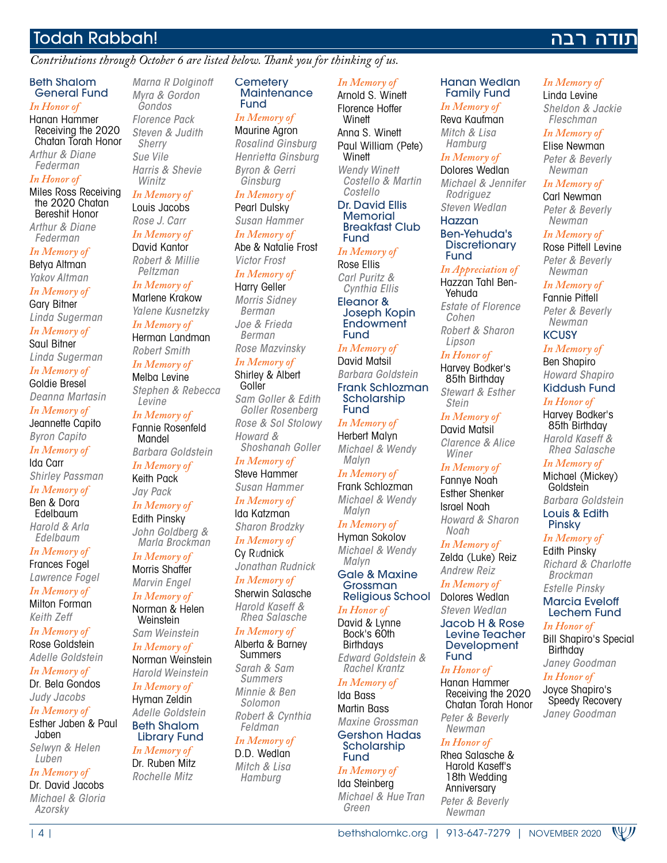# Todah Rabbah!

#### *Contributions through October 6 are listed below. Thank you for thinking of us.*

#### Beth Shalom General Fund

## *In Honor of*

Hanan Hammer Receiving the 2020 Chatan Torah Honor *Arthur & Diane Federman*

#### *In Honor of*

Miles Ross Receiving the 2020 Chatan Bereshit Honor *Arthur & Diane* 

*Federman In Memory of*

Betya Altman *Yakov Altman*

*In Memory of* Gary Bitner

*Linda Sugerman In Memory of*

Saul Bitner *Linda Sugerman*

*In Memory of* Goldie Bresel *Deanna Martasin*

*In Memory of* Jeannette Capito

*Byron Capito In Memory of*

Ida Carr *Shirley Passman*

*In Memory of* Ben & Dora

Edelbaum *Harold & Arla Edelbaum*

*In Memory of* Frances Fogel *Lawrence Fogel*

*In Memory of* Milton Forman

*Keith Zeff In Memory of*

Rose Goldstein *Adelle Goldstein*

*In Memory of* Dr. Bela Gondos

*Judy Jacobs In Memory of*

Esther Jaben & Paul Jaben *Selwyn & Helen* 

*Luben In Memory of*

Dr. David Jacobs *Michael & Gloria Azorsky*

*Marna R Dolginoff Myra & Gordon Gondos Florence Pack Steven & Judith Sherry Sue Vile Harris & Shevie Winitz*

*In Memory of* Louis Jacobs

*Rose J. Carr In Memory of*

David Kantor *Robert & Millie Peltzman*

*In Memory of* Marlene Krakow

*Yalene Kusnetzky In Memory of*

Herman Landman *Robert Smith*

*In Memory of* Melba Levine *Stephen & Rebecca Levine*

*In Memory of* Fannie Rosenfeld Mandel

*Barbara Goldstein In Memory of*

Keith Pack *Jay Pack*

*In Memory of* Edith Pinsky *John Goldberg & Marla Brockman*

*In Memory of* Morris Shaffer *Marvin Engel*

*In Memory of* Norman & Helen **Weinstein** 

*Sam Weinstein In Memory of*

Norman Weinstein *Harold Weinstein In Memory of* Hyman Zeldin *Adelle Goldstein* Beth Shalom Library Fund

*In Memory of* Dr. Ruben Mitz

*Rochelle Mitz*

**Cemeterv Maintenance** Fund

*In Memory of* Maurine Agron

*Rosalind Ginsburg Henrietta Ginsburg Byron & Gerri Ginsburg*

*In Memory of*

Pearl Dulsky *Susan Hammer In Memory of*

Abe & Natalie Frost *Victor Frost*

*In Memory of* Harry Geller

*Morris Sidney Berman Joe & Frieda Berman Rose Mazvinsky*

*In Memory of* Shirley & Albert

Goller *Sam Goller & Edith Goller Rosenberg Rose & Sol Stolowy Howard & Shoshanah Goller*

*In Memory of* Steve Hammer *Susan Hammer In Memory of*

Ida Katzman *Sharon Brodzky*

*In Memory of* Cy R*u*dnick *Jonathan Rudnick*

*In Memory of* Sherwin Salasche *Harold Kaseff &* 

*Rhea Salasche*

*In Memory of* Alberta & Barney Summers *Sarah & Sam Summers Minnie & Ben* 

*Solomon Robert & Cynthia Feldman*

| 4 | bethshalomkc.org | 913-647-7279 | NOVEMBER 2020

#### *In Memory of* D.D. Wedlan

*Mitch & Lisa Hamburg*

*In Memory of*

Arnold S. Winett Florence Hoffer **Winett** Anna S. Winett Paul William (Pete) **Winett** *Wendy Winett Costello & Martin Costello* Dr. David Ellis **Memorial** 

Breakfast Club Fund

#### *In Memory of* Rose Ellis

*Carl Puritz & Cynthia Ellis*

Eleanor & Joseph Kopin **Endowment** Fund

*In Memory of* David Matsil *Barbara Goldstein* Frank Schlozman

Scholarship Fund *In Memory of* Herbert Malyn *Michael & Wendy* 

*Malyn In Memory of* Frank Schlozman

*Michael & Wendy Malyn*

*In Memory of* Hyman Sokolov *Michael & Wendy Malyn*

Gale & Maxine Grossman Religious School

*In Honor of* David & Lynne Bock's 60th **Birthdays** 

*Edward Goldstein & Rachel Krantz In Memory of*

## Ida Bass

Martin Bass *Maxine Grossman* Gershon Hadas **Scholarship** 

#### Fund *In Memory of*

Ida Steinberg *Michael & Hue Tran Green*

#### Hanan Wedlan Family Fund

*In Memory of* Linda Levine *Sheldon & Jackie Fleschman In Memory of* Elise Newman *Peter & Beverly Newman In Memory of* Carl Newman *Peter & Beverly Newman In Memory of* Rose Pittell Levine *Peter & Beverly Newman In Memory of* Fannie Pittell *Peter & Beverly Newman* **KCUSY** *In Memory of* Ben Shapiro *Howard Shapiro* Kiddush Fund *In Honor of* Harvey Bodker's 85th Birthday *Harold Kaseff & Rhea Salasche In Memory of* Michael (Mickey) **Goldstein** *Barbara Goldstein* Louis & Edith Pinsky *In Memory of* Edith Pinsky

נודה רבה

*In Memory of* Reva Kaufman *Mitch & Lisa Hamburg*

#### *In Memory of*

Dolores Wedlan *Michael & Jennifer Rodriguez Steven Wedlan* Hazzan

#### Ben-Yehuda's **Discretionary** Fund

*In Appreciation of* Hazzan Tahl Ben-Yehuda *Estate of Florence Cohen Robert & Sharon Lipson*

*In Honor of*

Harvey Bodker's 85th Birthday *Stewart & Esther Stein*

*In Memory of* David Matsil

*Clarence & Alice Winer*

#### *In Memory of*

Fannye Noah Esther Shenker Israel Noah *Howard & Sharon Noah*

*In Memory of*

*Richard & Charlotte Brockman Estelle Pinsky* Marcia Eveloff Lechem Fund *In Honor of*

Bill Shapiro's Special

WIJ

**Birthday** *Janey Goodman In Honor of* Joyce Shapiro's Speedy Recovery *Janey Goodman*

Zelda (Luke) Reiz *Andrew Reiz*

*In Memory of* Dolores Wedlan *Steven Wedlan*

Jacob H & Rose Levine Teacher **Development** Fund

#### *In Honor of*

*In Honor of* Rhea Salasche & Harold Kaseff's 18th Wedding Anniversary *Peter & Beverly Newman*

Hanan Hammer Receiving the 2020 Chatan Torah Honor *Peter & Beverly Newman*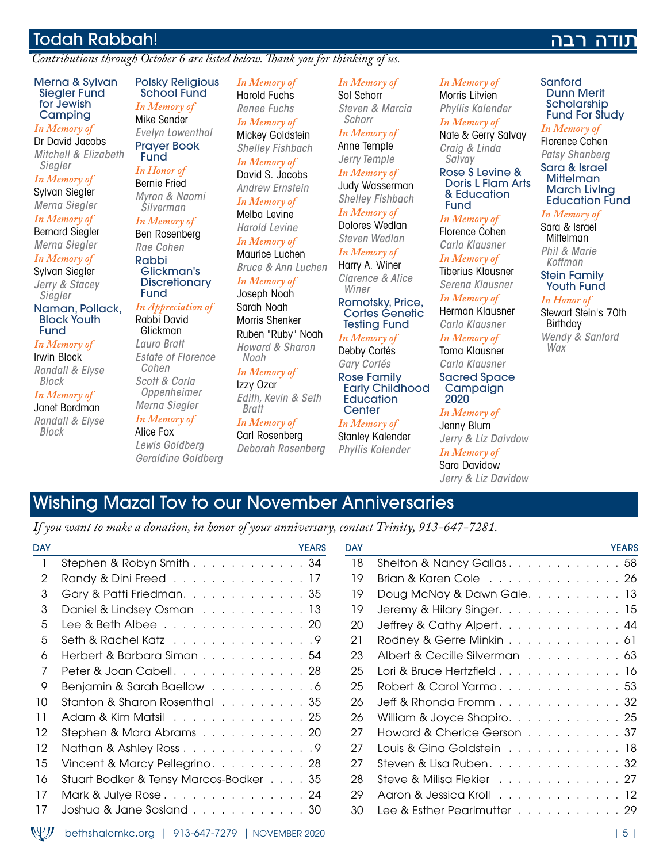# Todah Rabbah!

*Contributions through October 6 are listed below. Thank you for thinking of us.*

Merna & Sylvan Siegler Fund for Jewish **Camping** 

*In Memory of*

Dr David Jacobs *Mitchell & Elizabeth Siegler*

*In Memory of* Sylvan Siegler

*Merna Siegler In Memory of*

Bernard Siegler

*Merna Siegler In Memory of*

Sylvan Siegler

*Jerry & Stacey Siegler*

Naman, Pollack, Block Youth Fund

*In Memory of* Irwin Block

*Randall & Elyse Block*

*In Memory of* Janet Bordman *Randall & Elyse Block*

Polsky Religious School Fund *In Memory of* Mike Sender *Evelyn Lowenthal* Prayer Book Fund

*In Honor of* Bernie Fried *Myron & Naomi Silverman*

*In Memory of*

Fund

Ben Rosenberg *Rae Cohen* Rabbi Glickman's **Discretionary** 

#### *In Appreciation of*

Rabbi David Glickman *Laura Bratt Estate of Florence Cohen Scott & Carla Oppenheimer Merna Siegler*

*In Memory of*

Alice Fox *Lewis Goldberg Geraldine Goldberg*

*Shelley Fishbach In Memory of* David S. Jacobs *Andrew Ernstein In Memory of* Melba Levine *Harold Levine In Memory of* Maurice Luchen *Bruce & Ann Luchen In Memory of* Joseph Noah Sarah Noah Morris Shenker Ruben "Ruby" Noah *Howard & Sharon Noah In Memory of*

*In Memory of* Harold Fuchs *Renee Fuchs In Memory of* Mickey Goldstein

Izzy Ozar *Edith, Kevin & Seth Bratt*

*In Memory of* Carl Rosenberg *Deborah Rosenberg*

*In Memory of* Sol Schorr *Steven & Marcia Schorr*

*In Memory of* Anne Temple

*Jerry Temple In Memory of*

Judy Wasserman *Shelley Fishbach*

*In Memory of* Dolores Wedlan *Steven Wedlan*

*In Memory of* Harry A. Winer *Clarence & Alice* 

*Winer* Romotsky, Price, Cortes Genetic Testing Fund

*In Memory of* Debby Cortés *Gary Cortés*

Rose Family Early Childhood **Education Center** 

*In Memory of*

Stanley Kalender *Phyllis Kalender*

*In Memory of* Morris Litvien *Phyllis Kalender*

*In Memory of* Nate & Gerry Salvay *Craig & Linda Salvay*

Rose S Levine & Doris L Flam Arts & Education Fund

*In Memory of*

Florence Cohen *Carla Klausner*

*In Memory of* Tiberius Klausner *Serena Klausner*

*In Memory of*

Herman Klausner *Carla Klausner*

*In Memory of* Toma Klausner *Carla Klausner*

Sacred Space Campaign 2020

*In Memory of*

Jenny Blum *Jerry & Liz Daivdow In Memory of*

Sara Davidow *Jerry & Liz Davidow*

# רבה

Sanford Dunn Merit **Scholarship** Fund For Study

*In Memory of* Florence Cohen

*Patsy Shanberg* Sara & Israel **Mittelman** March LivIng Education Fund

*In Memory of*

Sara & Israel **Mittelman** *Phil & Marie Koffman*

Stein Family Youth Fund

#### *In Honor of*

Stewart Stein's 70th Birthday *Wendy & Sanford Wax*

# Wishing Mazal Tov to our November Anniversaries

*If you want to make a donation, in honor of your anniversary, contact Trinity, 913-647-7281.*

| <b>DAY</b> | <b>YEARS</b>                                      | <b>DAY</b> | <b>YEARS</b>                  |
|------------|---------------------------------------------------|------------|-------------------------------|
|            | Stephen & Robyn Smith 34                          | 18         | Shelton & Nancy Gallas58      |
| 2          | Randy & Dini Freed 17                             | 19         | Brian & Karen Cole 26         |
| 3          | Gary & Patti Friedman. 35                         | 19         | Doug McNay & Dawn Gale. 13    |
| 3          | Daniel & Lindsey Osman 13                         | 19         | Jeremy & Hilary Singer. 15    |
| 5          | Lee & Beth Albee 20                               | 20         | Jeffrey & Cathy Alpert. 44    |
| 5          | Seth & Rachel Katz 9                              | 21         | Rodney & Gerre Minkin 61      |
| 6          | Herbert & Barbara Simon 54                        | 23         | Albert & Cecille Silverman 63 |
|            | Peter & Joan Cabell, , , , , , , , , , , , , , 28 | 25         | Lori & Bruce Hertzfield 16    |
| 9          | Benjamin & Sarah Baellow 6                        | 25         | Robert & Carol Yarmo53        |
| 10         | Stanton & Sharon Rosenthal 35                     | 26         | Jeff & Rhonda Fromm32         |
| 11         | Adam & Kim Matsil 25                              | 26         | William & Joyce Shapiro. 25   |
| 12         | Stephen & Mara Abrams20                           | 27         | Howard & Cherice Gerson 37    |
| 12         | Nathan & Ashley Ross 9                            | 27         | Louis & Gina Goldstein 18     |
| 15         | Vincent & Marcy Pellegrino. 28                    | 27         | Steven & Lisa Ruben. 32       |
| 16         | Stuart Bodker & Tensy Marcos-Bodker 35            | 28         | Steve & Milisa Flekier 27     |
| 17         | Mark & Julye Rose24                               | 29         | Aaron & Jessica Kroll 12      |
| 17         | Joshua & Jane Sosland 30                          | 30         | Lee & Esther Pearlmutter 29   |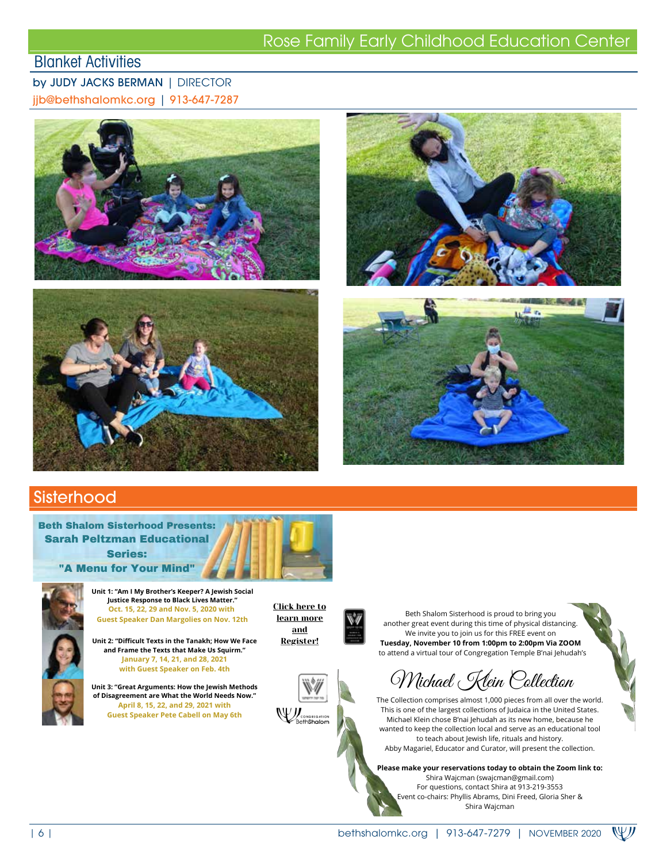# Rose Family Early Childhood Education Center<br>Blanket Activities

## by JUDY JACKS BERMAN | DIRECTOR

jjb@bethshalomkc.org | 913-647-7287









## **Sisterhood**

Beth Shalom Sisterhood Presents: Sarah Peltzman Educational Series:

"A Menu for Your Mind"



**Unit 1: "Am I My Brother's Keeper? A Jewish Social Justice Response to Black Lives Matter." Oct. 15, 22, 29 and Nov. 5, 2020 with Guest Speaker Dan Margolies on Nov. 12th**

**Unit 2: "Difficult Texts in the Tanakh; How We Face and Frame the Texts that Make Us Squirm." January 7, 14, 21, and 28, 2021 with Guest Speaker on Feb. 4th**

**Unit 3: "Great Arguments: How the Jewish Methods of Disagreement are What the World Needs Now." April 8, 15, 22, and 29, 2021 with Guest Speaker Pete Cabell on May 6th**

Click here to learn more and Register!

**W**esth Shallon



Beth Shalom Sisterhood is proud to bring you another great event during this time of physical distancing. We invite you to join us for this FREE event on **Tuesday, November 10 from 1:00pm to 2:00pm Via ZOOM** to attend a virtual tour of Congregation Temple B'nai Jehudah's

Michael Klein Collection

The Collection comprises almost 1,000 pieces from all over the world. This is one of the largest collections of Judaica in the United States. Michael Klein chose B'nai Jehudah as its new home, because he wanted to keep the collection local and serve as an educational tool to teach about Jewish life, rituals and history. Abby Magariel, Educator and Curator, will present the collection.

**Please make your reservations today to obtain the Zoom link to:** Shira Wajcman (swajcman@gmail.com)

For questions, contact Shira at 913-219-3553 Event co-chairs: Phyllis Abrams, Dini Freed, Gloria Sher & Shira Wajcman

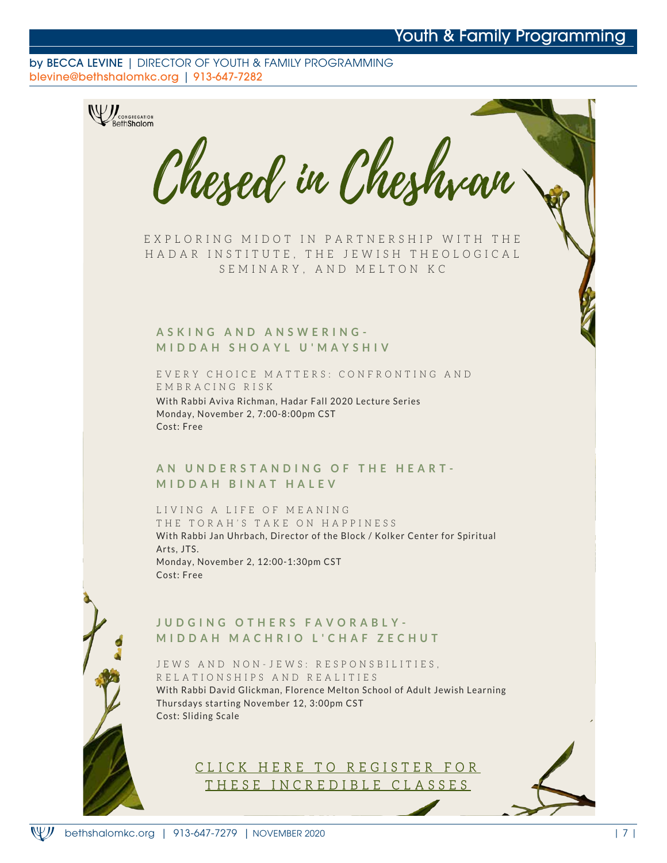## Youth & Family Programming

#### by BECCA LEVINE | DIRECTOR OF YOUTH & FAMILY PROGRAMMING blevine@bethshalomkc.org | 913-647-7282



E X P L O R I N G M I D O T IN PARTNERSHIP WITH THE HADAR INSTITUTE, THE JEWISH THEOLOGICAL SEMINARY, AND MELTON KC

#### **A S K I N G A N D A N S W E R I N G - M I D D A H S H O A Y L U ' M A Y S H I V**

EVERY CHOICE MATTERS: CONFRONTING AND E M B R A C I N G R I S K With Rabbi Aviva Richman, Hadar Fall 2020 Lecture Series Monday, November 2, 7:00-8:00pm CST Cost: Free

#### AN UNDERSTANDING OF THE HEART-**M I D D A H B I N A T H A L E V**

LIVING A LIFE OF MEANING THE TORAH'S TAKE ON HAPPINESS With Rabbi Jan Uhrbach, Director of the Block / Kolker Center for Spiritual Arts, JTS. Monday, November 2, 12:00-1:30pm CST Cost: Free

#### **J U D G I N G O T H E R S F A V O R A B L Y - M I D D A H M A C H R I O L ' C H A F Z E C H U T**

JEWS AND NON-JEWS: RESPONSBILITIES, R E L A T I O N S H I P S A N D R E A L I T I E S With Rabbi David Glickman, Florence Melton School of Adult Jewish Learning Thursdays starting November 12, 3:00pm CST Cost: Sliding Scale

> CLICK HERE TO REGISTER FOR THESE INCREDIBLE CLASSES